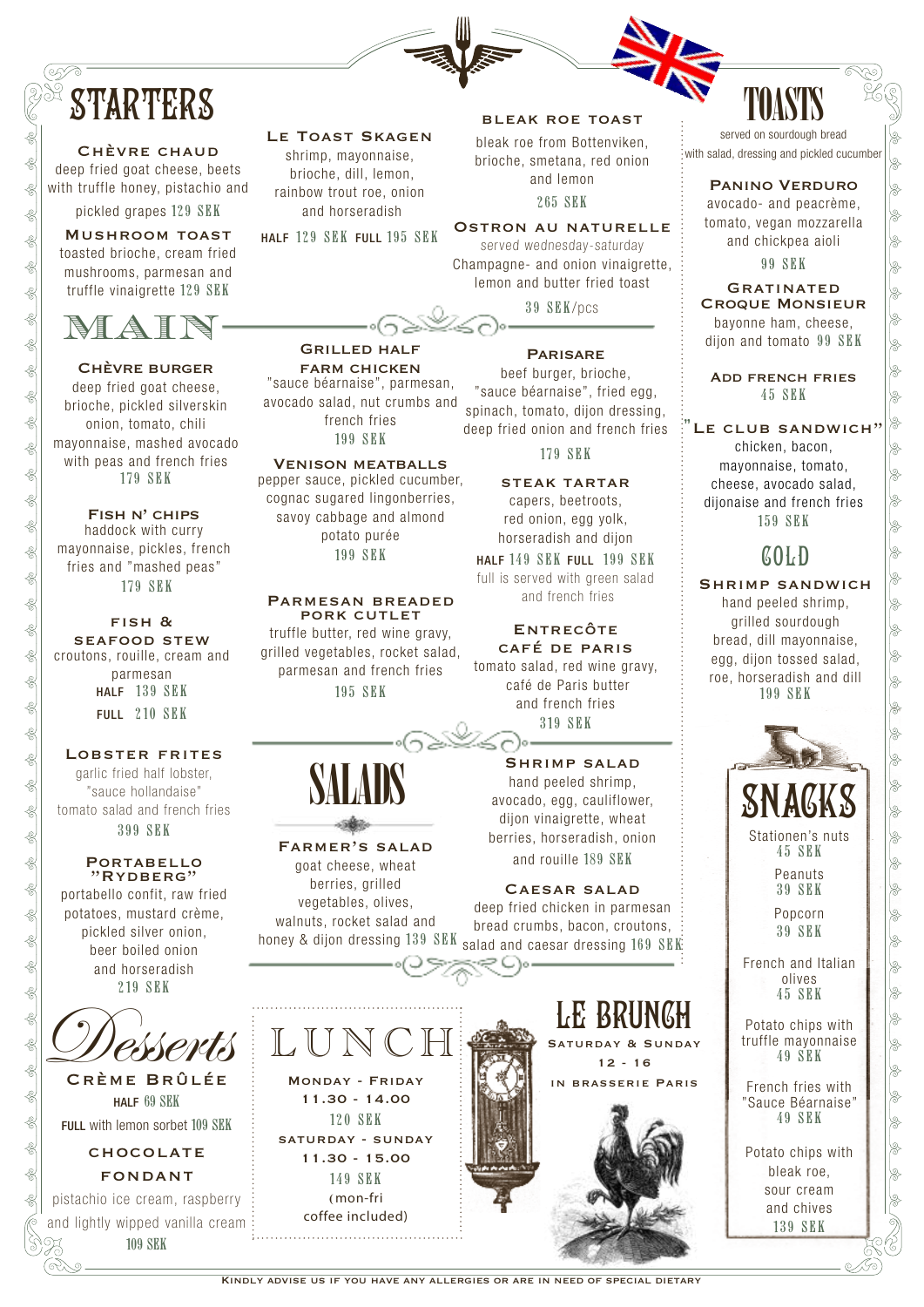# **STARTERS**

Chèvre chaud

deep fried goat cheese, beets with truffle honey, pistachio and

pickled grapes 129 SEK

Mushroom toast toasted brioche, cream fried mushrooms, parmesan and truffle vinaigrette 129 SEK



Chèvre burger deep fried goat cheese, brioche, pickled silverskin onion, tomato, chili mayonnaise, mashed avocado with peas and french fries 179 SEK

Fish n' chips haddock with curry mayonnaise, pickles, french fries and "mashed peas" 179 SEK

fish & seafood stew croutons, rouille, cream and parmesan HALF 139 SEK FULL 210 SEK

### Lobster frites

garlic fried half lobster, "sauce hollandaise" tomato salad and french fries 399 SEK

### **PORTABELLO** "Rydberg"

portabello confit, raw fried potatoes, mustard crème, pickled silver onion, beer boiled onion and horseradish 219 SEK



HALF 69 SEK FULL with lemon sorbet 109 SEK

> **CHOCOLATE** fondant

pistachio ice cream, raspberry and lightly wipped vanilla cream 109 SEK

### LE TOAST SKAGEN

shrimp, mayonnaise, brioche, dill, lemon, rainbow trout roe, onion and horseradish

HALF 129 SEK FULL 195 SEK

Grilled half farm chicken "sauce béarnaise", parmesan, avocado salad, nut crumbs and french fries 199 SEK Venison meatballs pepper sauce, pickled cucumber, cognac sugared lingonberries,

### bleak roe toast

bleak roe from Bottenviken, brioche, smetana, red onion and lemon 265 SEK

Ostron au naturelle served wednesday-saturday Champagne- and onion vinaigrette, lemon and butter fried toast

39 SEK/pcs

### **PARISARE**

beef burger, brioche, "sauce béarnaise", fried egg, spinach, tomato, dijon dressing, deep fried onion and french fries

179 SEK

### steak tartar

capers, beetroots, red onion, egg yolk, horseradish and dijon

HALF 149 SEK FULL 199 SEK full is served with green salad and french fries

### **ENTRECÔTE** café de paris

tomato salad, red wine gravy, café de Paris butter and french fries 319 SEK

Shrimp salad hand peeled shrimp, avocado, egg, cauliflower, dijon vinaigrette, wheat berries, horseradish, onion and rouille 189 SEK

### Caesar salad

deep fried chicken in parmesan bread crumbs, bacon, croutons, honey & dijon dressing 139 SEK salad and caesar dressing 169 SEK



# TOASTS

served on sourdough bread .<br>with salad, dressing and pickled cucumber

### Panino Verduro

avocado- and peacrème, tomato, vegan mozzarella and chickpea aioli 99 SEK

**GRATINATED** Croque Monsieur bayonne ham, cheese, dijon and tomato 99 SEK

Add french fries 45 SEK

### LE CLUB SANDWICH"

chicken, bacon, mayonnaise, tomato, cheese, avocado salad, dijonaise and french fries 159 SEK

# COLD

### Shrimp sandwich

hand peeled shrimp, grilled sourdough bread, dill mayonnaise, egg, dijon tossed salad, roe, horseradish and dill 199 SEK



Stationen's nuts 45 SEK

> Peanuts 39 SEK

Popcorn 39 SEK

French and Italian olives 45 SEK

Potato chips with truffle mayonnaise 49 SEK

French fries with "Sauce Béarnaise" 49 SEK

Potato chips with bleak roe, sour cream and chives 139 SEK

149 SEK (mon-fri coffee included) 

Kindly advise us if you have any allergies or are in need of special dietary

SALADS Farmer's salad goat cheese, wheat

berries, grilled vegetables, olives, walnuts, rocket salad and

> Monday - Friday 11.30 - 14.00 120 SEK saturday - sunday 11.30 - 15.00

LUN

savoy cabbage and almond potato purée 199 SEK Parmesan breaded

PORK CUTLET truffle butter, red wine gravy, grilled vegetables, rocket salad, parmesan and french fries 195 SEK